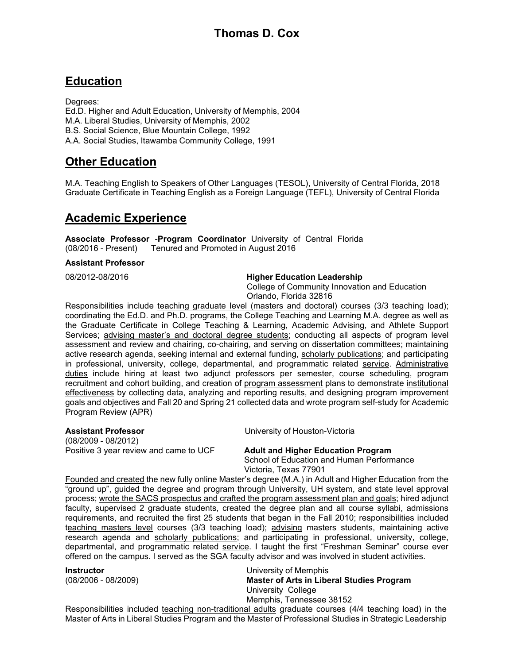# **Thomas D. Cox**

# **Education**

Degrees: Ed.D. Higher and Adult Education, University of Memphis, 2004 M.A. Liberal Studies, University of Memphis, 2002 B.S. Social Science, Blue Mountain College, 1992 A.A. Social Studies, Itawamba Community College, 1991

# **Other Education**

M.A. Teaching English to Speakers of Other Languages (TESOL), University of Central Florida, 2018 Graduate Certificate in Teaching English as a Foreign Language (TEFL), University of Central Florida

# **Academic Experience**

**Associate Professor** -**Program Coordinator** University of Central Florida (08/2016 - Present) Tenured and Promoted in August 2016

#### **Assistant Professor**

#### 08/2012-08/2016 **Higher Education Leadership**

College of Community Innovation and Education Orlando, Florida 32816

Responsibilities include teaching graduate level (masters and doctoral) courses (3/3 teaching load); coordinating the Ed.D. and Ph.D. programs, the College Teaching and Learning M.A. degree as well as the Graduate Certificate in College Teaching & Learning, Academic Advising, and Athlete Support Services; advising master's and doctoral degree students; conducting all aspects of program level assessment and review and chairing, co-chairing, and serving on dissertation committees; maintaining active research agenda, seeking internal and external funding, scholarly publications; and participating in professional, university, college, departmental, and programmatic related service. Administrative duties include hiring at least two adjunct professors per semester, course scheduling, program recruitment and cohort building, and creation of program assessment plans to demonstrate institutional effectiveness by collecting data, analyzing and reporting results, and designing program improvement goals and objectives and Fall 20 and Spring 21 collected data and wrote program self-study for Academic Program Review (APR)

(08/2009 - 08/2012) Positive 3 year review and came to UCF **Adult and Higher Education Program**

**Assistant Professor** University of Houston-Victoria

School of Education and Human Performance Victoria, Texas 77901

Founded and created the new fully online Master's degree (M.A.) in Adult and Higher Education from the "ground up", guided the degree and program through University, UH system, and state level approval process; wrote the SACS prospectus and crafted the program assessment plan and goals; hired adjunct faculty, supervised 2 graduate students, created the degree plan and all course syllabi, admissions requirements, and recruited the first 25 students that began in the Fall 2010; responsibilities included teaching masters level courses (3/3 teaching load); advising masters students, maintaining active research agenda and scholarly publications; and participating in professional, university, college, departmental, and programmatic related service. I taught the first "Freshman Seminar" course ever offered on the campus. I served as the SGA faculty advisor and was involved in student activities.

**Instructor** University of Memphis (08/2006 - 08/2009) **Master of Arts in Liberal Studies Program** University College Memphis, Tennessee 38152

Responsibilities included teaching non-traditional adults graduate courses (4/4 teaching load) in the Master of Arts in Liberal Studies Program and the Master of Professional Studies in Strategic Leadership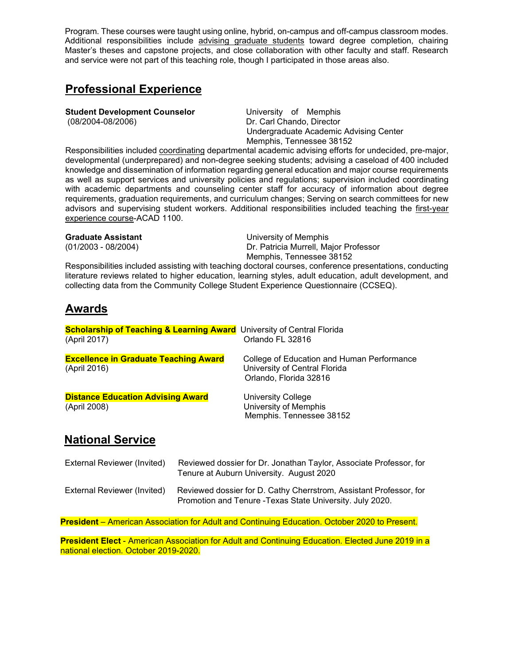Program. These courses were taught using online, hybrid, on-campus and off-campus classroom modes. Additional responsibilities include advising graduate students toward degree completion, chairing Master's theses and capstone projects, and close collaboration with other faculty and staff. Research and service were not part of this teaching role, though I participated in those areas also.

# **Professional Experience**

**Student Development Counselor University of Memphis** 

(08/2004-08/2006) Dr. Carl Chando, Director Undergraduate Academic Advising Center Memphis, Tennessee 38152

Responsibilities included coordinating departmental academic advising efforts for undecided, pre-major, developmental (underprepared) and non-degree seeking students; advising a caseload of 400 included knowledge and dissemination of information regarding general education and major course requirements as well as support services and university policies and regulations; supervision included coordinating with academic departments and counseling center staff for accuracy of information about degree requirements, graduation requirements, and curriculum changes; Serving on search committees for new advisors and supervising student workers. Additional responsibilities included teaching the first-year experience course-ACAD 1100.

**Graduate Assistant** Camerate Controllering Controllering University of Memphis<br>
University of Memphis (01/2003 - 08/2004) Dr. Patricia Murrell, Major Professor Memphis, Tennessee 38152

Responsibilities included assisting with teaching doctoral courses, conference presentations, conducting literature reviews related to higher education, learning styles, adult education, adult development, and collecting data from the Community College Student Experience Questionnaire (CCSEQ).

# **Awards**

| <b>Scholarship of Teaching &amp; Learning Award</b> University of Central Florida |                                                                                                       |
|-----------------------------------------------------------------------------------|-------------------------------------------------------------------------------------------------------|
| (April 2017)                                                                      | Orlando FL 32816                                                                                      |
| <b>Excellence in Graduate Teaching Award</b><br>(April 2016)                      | College of Education and Human Performance<br>University of Central Florida<br>Orlando, Florida 32816 |
| <b>Distance Education Advising Award</b><br>(April 2008)                          | <b>University College</b><br>University of Memphis<br>Memphis. Tennessee 38152                        |

# **National Service**

| External Reviewer (Invited) | Reviewed dossier for Dr. Jonathan Taylor, Associate Professor, for<br>Tenure at Auburn University. August 2020                  |
|-----------------------------|---------------------------------------------------------------------------------------------------------------------------------|
| External Reviewer (Invited) | Reviewed dossier for D. Cathy Cherrstrom, Assistant Professor, for<br>Promotion and Tenure - Texas State University. July 2020. |

**President** – American Association for Adult and Continuing Education. October 2020 to Present.

**President Elect** - American Association for Adult and Continuing Education. Elected June 2019 in a national election. October 2019-2020.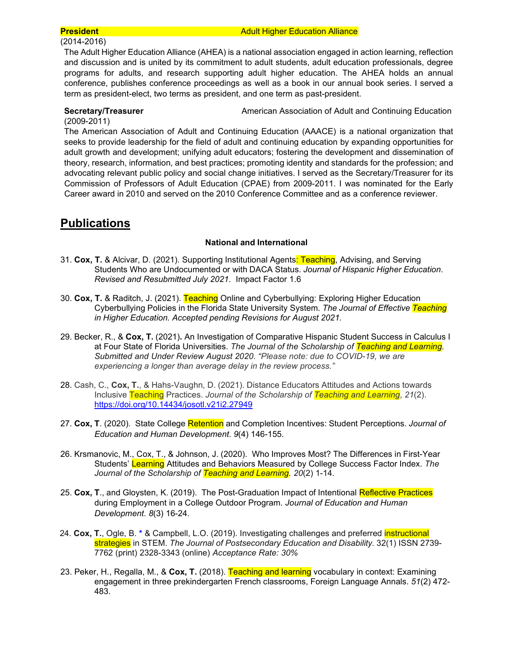## (2014-2016)

#### **President Adult Higher Education Alliance Adult Higher Education Alliance**

The Adult Higher Education Alliance (AHEA) is a national association engaged in action learning, reflection and discussion and is united by its commitment to adult students, adult education professionals, degree programs for adults, and research supporting adult higher education. The AHEA holds an annual conference, publishes conference proceedings as well as a book in our annual book series. I served a term as president-elect, two terms as president, and one term as past-president.

**Secretary/Treasurer American Association of Adult and Continuing Education** 

#### (2009-2011)

The American Association of Adult and Continuing Education (AAACE) is a national organization that seeks to provide leadership for the field of adult and continuing education by expanding opportunities for adult growth and development; unifying adult educators; fostering the development and dissemination of theory, research, information, and best practices; promoting identity and standards for the profession; and advocating relevant public policy and social change initiatives. I served as the Secretary/Treasurer for its Commission of Professors of Adult Education (CPAE) from 2009-2011. I was nominated for the Early Career award in 2010 and served on the 2010 Conference Committee and as a conference reviewer.

# **Publications**

## **National and International**

- 31. **Cox, T.** & Alcivar, D. (2021). Supporting Institutional Agents: Teaching, Advising, and Serving Students Who are Undocumented or with DACA Status. *Journal of Hispanic Higher Education*. *Revised and Resubmitted July 2021*. Impact Factor 1.6
- 30. **Cox, T.** & Raditch, J. (2021). Teaching Online and Cyberbullying: Exploring Higher Education Cyberbullying Policies in the Florida State University System. *The Journal of Effective Teaching in Higher Education. Accepted pending Revisions for August 2021.*
- 29. Becker, R., & **Cox, T.** (2021)**.** An Investigation of Comparative Hispanic Student Success in Calculus I at Four State of Florida Universities. *The Journal of the Scholarship of Teaching and Learning. Submitted and Under Review August 2020*. *"Please note: due to COVID-19, we are experiencing a longer than average delay in the review process."*
- 28. Cash, C., **Cox, T.**, & Hahs-Vaughn, D. (2021). Distance Educators Attitudes and Actions towards Inclusive Teaching Practices. *Journal of the Scholarship of Teaching and Learning*, *21*(2). <https://doi.org/10.14434/josotl.v21i2.27949>
- 27. **Cox, T**. (2020). State College Retention and Completion Incentives: Student Perceptions. *Journal of Education and Human Development*. *9*(4) 146-155.
- 26. Krsmanovic, M., Cox, T., & Johnson, J. (2020). Who Improves Most? The Differences in First-Year Students' Learning Attitudes and Behaviors Measured by College Success Factor Index. *The Journal of the Scholarship of Teaching and Learning. 20*(2) 1-14.
- 25. **Cox, T**., and Gloysten, K. (2019). The Post-Graduation Impact of Intentional Reflective Practices during Employment in a College Outdoor Program. *Journal of Education and Human Development*. *8*(3) 16-24.
- 24. **Cox, T.**, Ogle, B. **\*** & Campbell, L.O. (2019). Investigating challenges and preferred instructional strategies in STEM. *The Journal of Postsecondary Education and Disability.* 32(1) ISSN 2739- 7762 (print) 2328-3343 (online) *Acceptance Rate: 30%*
- 23. Peker, H., Regalla, M., & **Cox, T.** (2018). Teaching and learning vocabulary in context: Examining engagement in three prekindergarten French classrooms, Foreign Language Annals. *51*(2) 472- 483.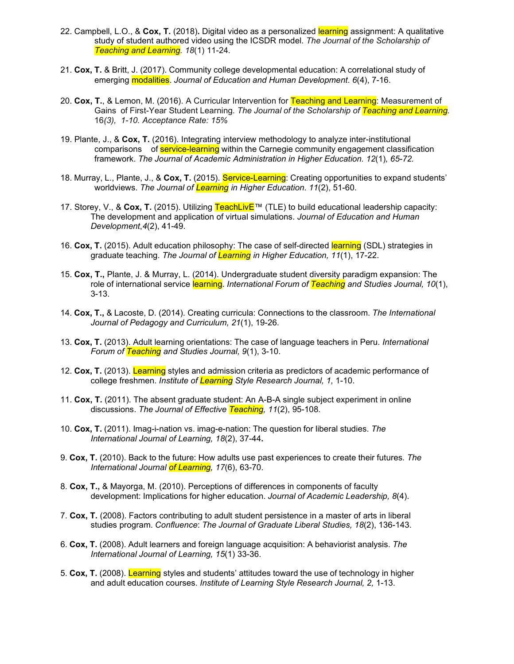- 22. Campbell, L.O., & **Cox, T.** (2018)**.** Digital video as a personalized learning assignment: A qualitative study of student authored video using the ICSDR model. *The Journal of the Scholarship of Teaching and Learning. 18*(1) 11-24*.*
- 21. **Cox, T.** & Britt, J. (2017). Community college developmental education: A correlational study of emerging modalities. *Journal of Education and Human Development*. *6*(4), 7-16.
- 20. **Cox, T.**, & Lemon, M. (2016). A Curricular Intervention for Teaching and Learning: Measurement of Gains of First-Year Student Learning. *The Journal of the Scholarship of Teaching and Learning.* 16*(3), 1-10. Acceptance Rate: 15%*
- 19. Plante, J., & **Cox, T.** (2016). Integrating interview methodology to analyze inter-institutional comparisons of **service-learning** within the Carnegie community engagement classification framework. *The Journal of Academic Administration in Higher Education. 12*(1)*, 65-72.*
- 18. Murray, L., Plante, J., & **Cox, T.** (2015). Service-Learning: Creating opportunities to expand students' worldviews. *The Journal of Learning in Higher Education*. *11*(2), 51-60.
- 17. Storey, V., & **Cox, T.** (2015). Utilizing TeachLivE™ (TLE) to build educational leadership capacity: The development and application of virtual simulations. *Journal of Education and Human Development*,*4*(2), 41-49.
- 16. **Cox, T.** (2015). Adult education philosophy: The case of self-directed learning (SDL) strategies in graduate teaching. *The Journal of Learning in Higher Education, 11*(1), 17-22.
- 15. **Cox, T.,** Plante, J. & Murray, L. (2014). Undergraduate student diversity paradigm expansion: The role of international service learning. *International Forum of Teaching and Studies Journal, 10*(1), 3-13.
- 14. **Cox, T.,** & Lacoste, D. (2014). Creating curricula: Connections to the classroom. *The International Journal of Pedagogy and Curriculum, 21*(1), 19-26.
- 13. **Cox, T.** (2013). Adult learning orientations: The case of language teachers in Peru. *International Forum of Teaching and Studies Journal, 9*(1), 3-10.
- 12. **Cox, T.** (2013). Learning styles and admission criteria as predictors of academic performance of college freshmen. *Institute of Learning Style Research Journal, 1,* 1-10.
- 11. **Cox, T.** (2011). The absent graduate student: An A-B-A single subject experiment in online discussions. *The Journal of Effective Teaching, 11*(2), 95-108*.*
- 10. **Cox, T.** (2011). Imag-i-nation vs. imag-e-nation: The question for liberal studies. *The International Journal of Learning, 18*(2), 37-44**.**
- 9. **Cox, T.** (2010). Back to the future: How adults use past experiences to create their futures*. The International Journal of Learning, 17*(6), 63-70.
- 8. **Cox, T.,** & Mayorga, M. (2010). Perceptions of differences in components of faculty development: Implications for higher education. *Journal of Academic Leadership, 8*(4).
- 7. **Cox, T.** (2008). Factors contributing to adult student persistence in a master of arts in liberal studies program. *Confluence*: *The Journal of Graduate Liberal Studies, 18*(2), 136-143.
- 6. **Cox, T.** (2008). Adult learners and foreign language acquisition: A behaviorist analysis. *The International Journal of Learning, 15*(1) 33-36.
- 5. **Cox, T.** (2008). Learning styles and students' attitudes toward the use of technology in higher and adult education courses. *Institute of Learning Style Research Journal, 2,* 1-13.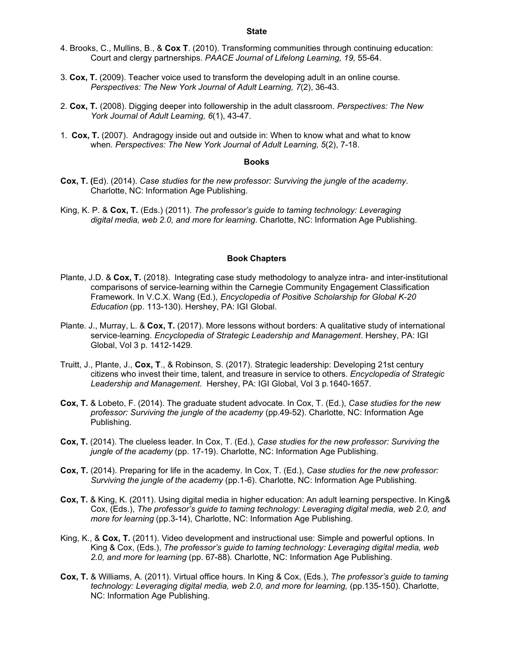#### **State**

- 4. Brooks, C., Mullins, B., & **Cox T**. (2010). Transforming communities through continuing education: Court and clergy partnerships. *PAACE Journal of Lifelong Learning, 19,* 55-64.
- 3. **Cox, T.** (2009). Teacher voice used to transform the developing adult in an online course. *Perspectives: The New York Journal of Adult Learning, 7*(2), 36-43.
- 2. **Cox, T.** (2008). Digging deeper into followership in the adult classroom. *Perspectives: The New York Journal of Adult Learning, 6*(1), 43-47.
- 1. **Cox, T.** (2007). Andragogy inside out and outside in: When to know what and what to know when. *Perspectives: The New York Journal of Adult Learning, 5*(2), 7-18.

#### **Books**

- **Cox, T. (**Ed). (2014). *Case studies for the new professor: Surviving the jungle of the academy*. Charlotte, NC: Information Age Publishing.
- King, K. P. & **Cox, T.** (Eds.) (2011). *The professor's guide to taming technology: Leveraging digital media, web 2.0, and more for learning*. Charlotte, NC: Information Age Publishing.

#### **Book Chapters**

- Plante, J.D. & **Cox, T.** (2018). Integrating case study methodology to analyze intra- and inter-institutional comparisons of service-learning within the Carnegie Community Engagement Classification Framework. In V.C.X. Wang (Ed.), *Encyclopedia of Positive Scholarship for Global K-20 Education* (pp. 113-130). Hershey, PA: IGI Global.
- Plante. J., Murray, L. & **Cox, T.** (2017). More lessons without borders: A qualitative study of international service-learning. *Encyclopedia of Strategic Leadership and Management*. Hershey, PA: IGI Global, Vol 3 p. 1412-1429.
- Truitt, J., Plante, J., **Cox, T**., & Robinson, S. (2017). Strategic leadership: Developing 21st century citizens who invest their time, talent, and treasure in service to others. *Encyclopedia of Strategic Leadership and Management*. Hershey, PA: IGI Global, Vol 3 p.1640-1657.
- **Cox, T.** & Lobeto, F. (2014). The graduate student advocate. In Cox, T. (Ed.), *Case studies for the new professor: Surviving the jungle of the academy* (pp.49-52). Charlotte, NC: Information Age Publishing.
- **Cox, T.** (2014). The clueless leader. In Cox, T. (Ed.), *Case studies for the new professor: Surviving the jungle of the academy* (pp. 17-19). Charlotte, NC: Information Age Publishing.
- **Cox, T.** (2014). Preparing for life in the academy. In Cox, T. (Ed.), *Case studies for the new professor: Surviving the jungle of the academy* (pp.1-6). Charlotte, NC: Information Age Publishing.
- **Cox, T.** & King, K. (2011). Using digital media in higher education: An adult learning perspective. In King& Cox, (Eds.), *The professor's guide to taming technology: Leveraging digital media, web 2.0, and more for learning* (pp.3-14), Charlotte, NC: Information Age Publishing.
- King, K., & **Cox, T.** (2011). Video development and instructional use: Simple and powerful options. In King & Cox, (Eds.), *The professor's guide to taming technology: Leveraging digital media, web 2.0, and more for learning* (pp. 67-88)*.* Charlotte, NC: Information Age Publishing.
- **Cox, T.** & Williams, A. (2011). Virtual office hours. In King & Cox, (Eds.), *The professor's guide to taming technology: Leveraging digital media, web 2.0, and more for learning, (pp.135-150). Charlotte,* NC: Information Age Publishing.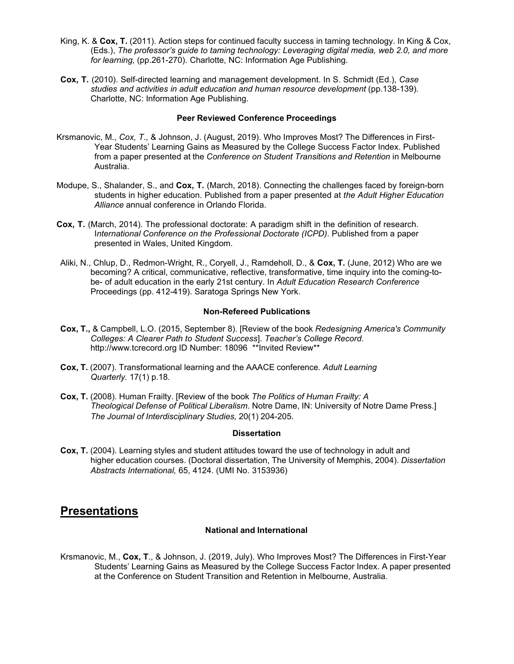- King, K. & **Cox, T.** (2011). Action steps for continued faculty success in taming technology. In King & Cox, (Eds.), *The professor's guide to taming technology: Leveraging digital media, web 2.0, and more for learning,* (pp.261-270). Charlotte, NC: Information Age Publishing.
- **Cox, T.** (2010). Self-directed learning and management development. In S. Schmidt (Ed.), *Case studies and activities in adult education and human resource development* (pp.138-139)*.* Charlotte, NC: Information Age Publishing.

#### **Peer Reviewed Conference Proceedings**

- Krsmanovic, M., *Cox, T.,* & Johnson, J. (August, 2019). Who Improves Most? The Differences in First-Year Students' Learning Gains as Measured by the College Success Factor Index. Published from a paper presented at the *Conference on Student Transitions and Retention* in Melbourne Australia.
- Modupe, S., Shalander, S., and **Cox, T.** (March, 2018). Connecting the challenges faced by foreign-born students in higher education. Published from a paper presented at *the Adult Higher Education Alliance* annual conference in Orlando Florida.
- **Cox, T.** (March, 2014). The professional doctorate: A paradigm shift in the definition of research. I*nternational Conference on the Professional Doctorate (ICPD)*. Published from a paper presented in Wales, United Kingdom.
- Aliki, N., Chlup, D., Redmon-Wright, R., Coryell, J., Ramdeholl, D., & **Cox, T.** (June, 2012) Who are we becoming? A critical, communicative, reflective, transformative, time inquiry into the coming-tobe- of adult education in the early 21st century. In *Adult Education Research Conference* Proceedings (pp. 412-419). Saratoga Springs New York.

#### **Non-Refereed Publications**

- **Cox, T.,** & Campbell, L.O. (2015, September 8). [Review of the book *Redesigning America's Community Colleges: A Clearer Path to Student Success*]. *Teacher's College Record*. [http://www.tcrecord.org](http://www.tcrecord.org/) ID Number: 18096 \*\*Invited Review\*\*
- **Cox, T.** (2007). Transformational learning and the AAACE conference*. Adult Learning Quarterly.* 17(1) p.18*.*
- **Cox, T.** (2008). Human Frailty. [Review of the book *The Politics of Human Frailty: A Theological Defense of Political Liberalism*. Notre Dame, IN: University of Notre Dame Press.] *The Journal of Interdisciplinary Studies,* 20(1) 204-205.

#### **Dissertation**

**Cox, T.** (2004). Learning styles and student attitudes toward the use of technology in adult and higher education courses. (Doctoral dissertation, The University of Memphis, 2004). *Dissertation Abstracts International,* 65, 4124. (UMI No. 3153936)

# **Presentations**

### **National and International**

Krsmanovic, M., **Cox, T**., & Johnson, J. (2019, July). Who Improves Most? The Differences in First-Year Students' Learning Gains as Measured by the College Success Factor Index. A paper presented at the Conference on Student Transition and Retention in Melbourne, Australia.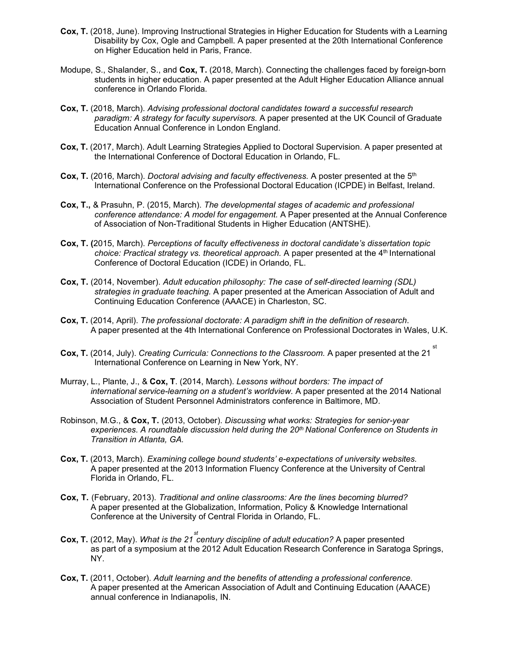- **Cox, T.** (2018, June). Improving Instructional Strategies in Higher Education for Students with a Learning Disability by Cox, Ogle and Campbell. A paper presented at the 20th International Conference on Higher Education held in Paris, France.
- Modupe, S., Shalander, S., and **Cox, T.** (2018, March). Connecting the challenges faced by foreign-born students in higher education. A paper presented at the Adult Higher Education Alliance annual conference in Orlando Florida.
- **Cox, T.** (2018, March). *Advising professional doctoral candidates toward a successful research paradigm: A strategy for faculty supervisors.* A paper presented at the UK Council of Graduate Education Annual Conference in London England.
- **Cox, T.** (2017, March). Adult Learning Strategies Applied to Doctoral Supervision. A paper presented at the International Conference of Doctoral Education in Orlando, FL.
- **Cox, T.** (2016, March). *Doctoral advising and faculty effectiveness.* A poster presented at the 5th International Conference on the Professional Doctoral Education (ICPDE) in Belfast, Ireland.
- **Cox, T.,** & Prasuhn, P. (2015, March). *The developmental stages of academic and professional conference attendance: A model for engagement.* A Paper presented at the Annual Conference of Association of Non-Traditional Students in Higher Education (ANTSHE).
- **Cox, T. (**2015, March). *Perceptions of faculty effectiveness in doctoral candidate's dissertation topic choice: Practical strategy vs. theoretical approach.* A paper presented at the 4<sup>th</sup> International Conference of Doctoral Education (ICDE) in Orlando, FL.
- **Cox, T.** (2014, November). *Adult education philosophy: The case of self-directed learning (SDL) strategies in graduate teaching.* A paper presented at the American Association of Adult and Continuing Education Conference (AAACE) in Charleston, SC.
- **Cox, T.** (2014, April). *The professional doctorate: A paradigm shift in the definition of research*. A paper presented at the 4th International Conference on Professional Doctorates in Wales, U.K.
- ${\sf Cox},$  **T.** (2014, July). *Creating Curricula: Connections to the Classroom.* A paper presented at the 21  $^{\rm st}$ International Conference on Learning in New York, NY.
- Murray, L., Plante, J., & **Cox, T**. (2014, March). *Lessons without borders: The impact of international service-learning on a student's worldview.* A paper presented at the 2014 National Association of Student Personnel Administrators conference in Baltimore, MD.
- Robinson, M.G., & **Cox, T.** (2013, October). *Discussing what works: Strategies for senior-year* experiences. A roundtable discussion held during the 20<sup>th</sup> National Conference on Students in *Transition in Atlanta, GA.*
- **Cox, T.** (2013, March). *Examining college bound students' e-expectations of university websites.* A paper presented at the 2013 Information Fluency Conference at the University of Central Florida in Orlando, FL.
- **Cox, T.** (February, 2013). *Traditional and online classrooms: Are the lines becoming blurred?* A paper presented at the Globalization, Information, Policy & Knowledge International Conference at the University of Central Florida in Orlando, FL.
- *st* **Cox, T.** (2012, May). *What is the 21 century discipline of adult education?* A paper presented as part of a symposium at the 2012 Adult Education Research Conference in Saratoga Springs, NY.
- **Cox, T.** (2011, October). *Adult learning and the benefits of attending a professional conference.* A paper presented at the American Association of Adult and Continuing Education (AAACE) annual conference in Indianapolis, IN.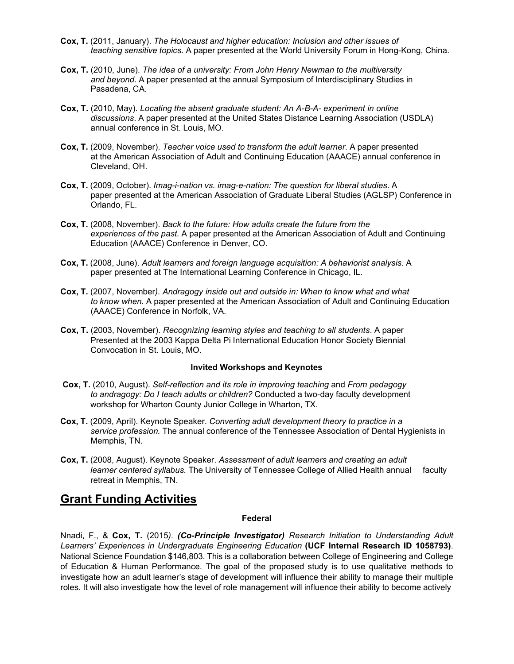- **Cox, T.** (2011, January). *The Holocaust and higher education: Inclusion and other issues of teaching sensitive topics.* A paper presented at the World University Forum in Hong-Kong, China.
- **Cox, T.** (2010, June). *The idea of a university: From John Henry Newman to the multiversity and beyond*. A paper presented at the annual Symposium of Interdisciplinary Studies in Pasadena, CA.
- **Cox, T.** (2010, May). *Locating the absent graduate student: An A-B-A- experiment in online discussions*. A paper presented at the United States Distance Learning Association (USDLA) annual conference in St. Louis, MO.
- **Cox, T.** (2009, November). *Teacher voice used to transform the adult learner*. A paper presented at the American Association of Adult and Continuing Education (AAACE) annual conference in Cleveland, OH.
- **Cox, T.** (2009, October). *Imag-i-nation vs. imag-e-nation: The question for liberal studies*. A paper presented at the American Association of Graduate Liberal Studies (AGLSP) Conference in Orlando, FL.
- **Cox, T.** (2008, November). *Back to the future: How adults create the future from the experiences of the past.* A paper presented at the American Association of Adult and Continuing Education (AAACE) Conference in Denver, CO.
- **Cox, T.** (2008, June). *Adult learners and foreign language acquisition: A behaviorist analysis*. A paper presented at The International Learning Conference in Chicago, IL.
- **Cox, T.** (2007, November*). Andragogy inside out and outside in: When to know what and what to know when.* A paper presented at the American Association of Adult and Continuing Education (AAACE) Conference in Norfolk, VA.
- **Cox, T.** (2003, November). *Recognizing learning styles and teaching to all students*. A paper Presented at the 2003 Kappa Delta Pi International Education Honor Society Biennial Convocation in St. Louis, MO.

#### **Invited Workshops and Keynotes**

- **Cox, T.** (2010, August). *Self-reflection and its role in improving teaching* and *From pedagogy to andragogy: Do I teach adults or children?* Conducted a two-day faculty development workshop for Wharton County Junior College in Wharton, TX.
- **Cox, T.** (2009, April). Keynote Speaker. *Converting adult development theory to practice in a service profession.* The annual conference of the Tennessee Association of Dental Hygienists in Memphis, TN.
- **Cox, T.** (2008, August). Keynote Speaker. *Assessment of adult learners and creating an adult learner centered syllabus.* The University of Tennessee College of Allied Health annual faculty retreat in Memphis, TN.

# **Grant Funding Activities**

#### **Federal**

Nnadi, F., & **Cox, T.** (2015*). (Co-Principle Investigator) Research Initiation to Understanding Adult Learners' Experiences in Undergraduate Engineering Education* **(UCF Internal Research ID 1058793)**. National Science Foundation \$146,803. This is a collaboration between College of Engineering and College of Education & Human Performance. The goal of the proposed study is to use qualitative methods to investigate how an adult learner's stage of development will influence their ability to manage their multiple roles. It will also investigate how the level of role management will influence their ability to become actively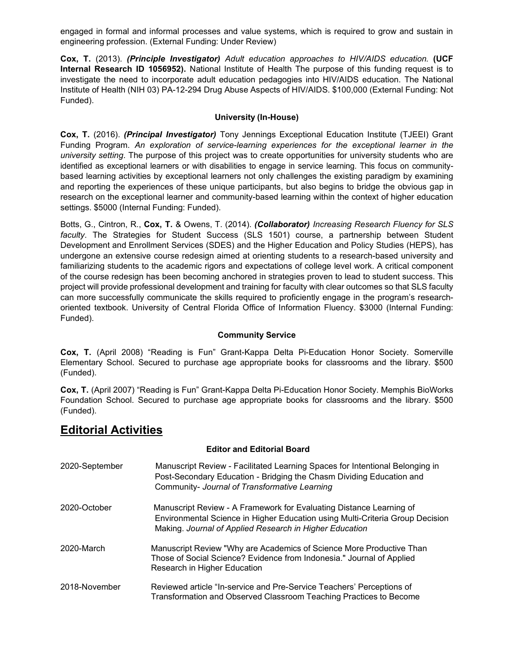engaged in formal and informal processes and value systems, which is required to grow and sustain in engineering profession. (External Funding: Under Review)

**Cox, T.** (2013). *(Principle Investigator) Adult education approaches to HIV/AIDS education.* **(UCF Internal Research ID 1056952).** National Institute of Health The purpose of this funding request is to investigate the need to incorporate adult education pedagogies into HIV/AIDS education. The National Institute of Health (NIH 03) PA-12-294 Drug Abuse Aspects of HIV/AIDS. \$100,000 (External Funding: Not Funded).

## **University (In-House)**

**Cox, T.** (2016). *(Principal Investigator)* Tony Jennings Exceptional Education Institute (TJEEI) Grant Funding Program. *An exploration of service-learning experiences for the exceptional learner in the university setting*. The purpose of this project was to create opportunities for university students who are identified as exceptional learners or with disabilities to engage in service learning. This focus on communitybased learning activities by exceptional learners not only challenges the existing paradigm by examining and reporting the experiences of these unique participants, but also begins to bridge the obvious gap in research on the exceptional learner and community-based learning within the context of higher education settings. \$5000 (Internal Funding: Funded).

Botts, G., Cintron, R., **Cox, T.** & Owens, T. (2014). *(Collaborator) Increasing Research Fluency for SLS faculty*. The Strategies for Student Success (SLS 1501) course, a partnership between Student Development and Enrollment Services (SDES) and the Higher Education and Policy Studies (HEPS), has undergone an extensive course redesign aimed at orienting students to a research-based university and familiarizing students to the academic rigors and expectations of college level work. A critical component of the course redesign has been becoming anchored in strategies proven to lead to student success. This project will provide professional development and training for faculty with clear outcomes so that SLS faculty can more successfully communicate the skills required to proficiently engage in the program's researchoriented textbook. University of Central Florida Office of Information Fluency. \$3000 (Internal Funding: Funded).

## **Community Service**

**Cox, T.** (April 2008) "Reading is Fun" Grant-Kappa Delta Pi-Education Honor Society. Somerville Elementary School. Secured to purchase age appropriate books for classrooms and the library. \$500 (Funded).

**Cox, T.** (April 2007) "Reading is Fun" Grant-Kappa Delta Pi-Education Honor Society. Memphis BioWorks Foundation School. Secured to purchase age appropriate books for classrooms and the library. \$500 (Funded).

# **Editorial Activities**

## **Editor and Editorial Board**

| 2020-September | Manuscript Review - Facilitated Learning Spaces for Intentional Belonging in<br>Post-Secondary Education - Bridging the Chasm Dividing Education and<br>Community- Journal of Transformative Learning           |
|----------------|-----------------------------------------------------------------------------------------------------------------------------------------------------------------------------------------------------------------|
| 2020-October   | Manuscript Review - A Framework for Evaluating Distance Learning of<br>Environmental Science in Higher Education using Multi-Criteria Group Decision<br>Making. Journal of Applied Research in Higher Education |
| 2020-March     | Manuscript Review "Why are Academics of Science More Productive Than<br>Those of Social Science? Evidence from Indonesia." Journal of Applied<br>Research in Higher Education                                   |
| 2018-November  | Reviewed article "In-service and Pre-Service Teachers' Perceptions of<br>Transformation and Observed Classroom Teaching Practices to Become                                                                     |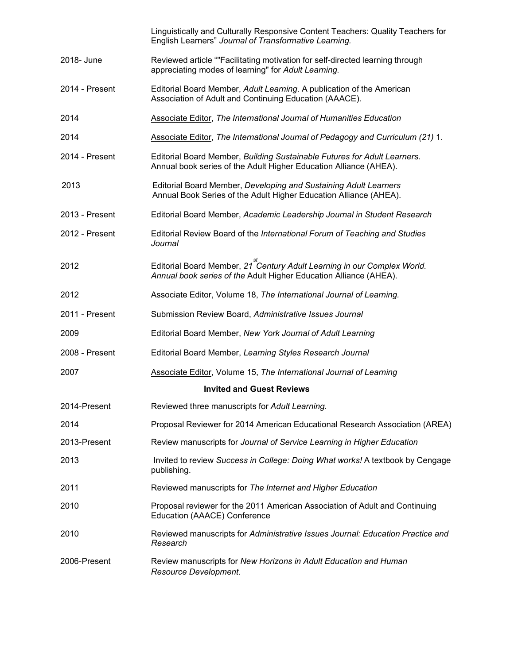|                | Linguistically and Culturally Responsive Content Teachers: Quality Teachers for<br>English Learners" Journal of Transformative Learning.                   |
|----------------|------------------------------------------------------------------------------------------------------------------------------------------------------------|
| 2018- June     | Reviewed article ""Facilitating motivation for self-directed learning through<br>appreciating modes of learning" for Adult Learning.                       |
| 2014 - Present | Editorial Board Member, Adult Learning. A publication of the American<br>Association of Adult and Continuing Education (AAACE).                            |
| 2014           | Associate Editor, The International Journal of Humanities Education                                                                                        |
| 2014           | Associate Editor, The International Journal of Pedagogy and Curriculum (21) 1.                                                                             |
| 2014 - Present | Editorial Board Member, Building Sustainable Futures for Adult Learners.<br>Annual book series of the Adult Higher Education Alliance (AHEA).              |
| 2013           | Editorial Board Member, Developing and Sustaining Adult Learners<br>Annual Book Series of the Adult Higher Education Alliance (AHEA).                      |
| 2013 - Present | Editorial Board Member, Academic Leadership Journal in Student Research                                                                                    |
| 2012 - Present | Editorial Review Board of the International Forum of Teaching and Studies<br>Journal                                                                       |
| 2012           | Editorial Board Member, 21 <sup>st</sup> Century Adult Learning in our Complex World.<br>Annual book series of the Adult Higher Education Alliance (AHEA). |
| 2012           | Associate Editor, Volume 18, The International Journal of Learning.                                                                                        |
| 2011 - Present | Submission Review Board, Administrative Issues Journal                                                                                                     |
| 2009           | Editorial Board Member, New York Journal of Adult Learning                                                                                                 |
| 2008 - Present | Editorial Board Member, Learning Styles Research Journal                                                                                                   |
| 2007           | <b>Associate Editor, Volume 15, The International Journal of Learning</b>                                                                                  |
|                | <b>Invited and Guest Reviews</b>                                                                                                                           |
| 2014-Present   | Reviewed three manuscripts for Adult Learning.                                                                                                             |
| 2014           | Proposal Reviewer for 2014 American Educational Research Association (AREA)                                                                                |
| 2013-Present   | Review manuscripts for Journal of Service Learning in Higher Education                                                                                     |
| 2013           | Invited to review Success in College: Doing What works! A textbook by Cengage<br>publishing.                                                               |
| 2011           | Reviewed manuscripts for The Internet and Higher Education                                                                                                 |
| 2010           | Proposal reviewer for the 2011 American Association of Adult and Continuing<br>Education (AAACE) Conference                                                |
| 2010           | Reviewed manuscripts for Administrative Issues Journal: Education Practice and<br>Research                                                                 |
| 2006-Present   | Review manuscripts for New Horizons in Adult Education and Human<br>Resource Development.                                                                  |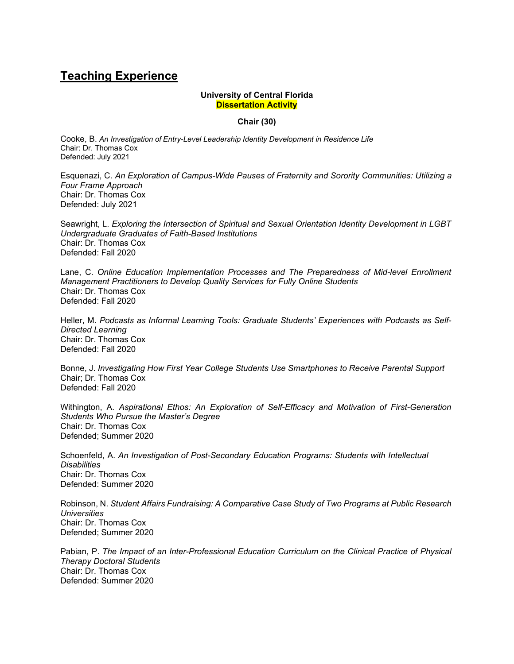# **Teaching Experience**

#### **University of Central Florida Dissertation Activity**

#### **Chair (30)**

Cooke, B. *An Investigation of Entry-Level Leadership Identity Development in Residence Life* Chair: Dr. Thomas Cox Defended: July 2021

Esquenazi, C. *An Exploration of Campus-Wide Pauses of Fraternity and Sorority Communities: Utilizing a Four Frame Approach* Chair: Dr. Thomas Cox Defended: July 2021

Seawright, L. *Exploring the Intersection of Spiritual and Sexual Orientation Identity Development in LGBT Undergraduate Graduates of Faith-Based Institutions* Chair: Dr. Thomas Cox Defended: Fall 2020

Lane, C. *Online Education Implementation Processes and The Preparedness of Mid-level Enrollment Management Practitioners to Develop Quality Services for Fully Online Students* Chair: Dr. Thomas Cox Defended: Fall 2020

Heller, M. *Podcasts as Informal Learning Tools: Graduate Students' Experiences with Podcasts as Self-Directed Learning* Chair: Dr. Thomas Cox Defended: Fall 2020

Bonne, J. *Investigating How First Year College Students Use Smartphones to Receive Parental Support* Chair; Dr. Thomas Cox Defended: Fall 2020

Withington, A. *Aspirational Ethos: An Exploration of Self-Efficacy and Motivation of First-Generation Students Who Pursue the Master's Degree* Chair: Dr. Thomas Cox Defended; Summer 2020

Schoenfeld, A. *An Investigation of Post-Secondary Education Programs: Students with Intellectual Disabilities* Chair: Dr. Thomas Cox Defended: Summer 2020

Robinson, N. *Student Affairs Fundraising: A Comparative Case Study of Two Programs at Public Research Universities* Chair: Dr. Thomas Cox Defended; Summer 2020

Pabian, P. *The Impact of an Inter-Professional Education Curriculum on the Clinical Practice of Physical Therapy Doctoral Students* Chair: Dr. Thomas Cox Defended: Summer 2020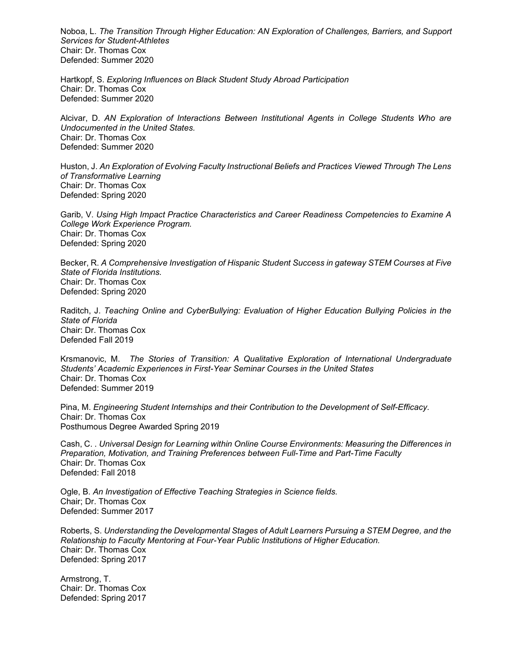Noboa, L. *The Transition Through Higher Education: AN Exploration of Challenges, Barriers, and Support Services for Student-Athletes* Chair: Dr. Thomas Cox Defended: Summer 2020

Hartkopf, S. *Exploring Influences on Black Student Study Abroad Participation* Chair: Dr. Thomas Cox Defended: Summer 2020

Alcivar, D. *AN Exploration of Interactions Between Institutional Agents in College Students Who are Undocumented in the United States.* Chair: Dr. Thomas Cox Defended: Summer 2020

Huston, J. *An Exploration of Evolving Faculty Instructional Beliefs and Practices Viewed Through The Lens of Transformative Learning* Chair: Dr. Thomas Cox Defended: Spring 2020

Garib, V. *Using High Impact Practice Characteristics and Career Readiness Competencies to Examine A College Work Experience Program.* Chair: Dr. Thomas Cox Defended: Spring 2020

Becker, R. *A Comprehensive Investigation of Hispanic Student Success in gateway STEM Courses at Five State of Florida Institutions.* Chair: Dr. Thomas Cox Defended: Spring 2020

Raditch, J. *Teaching Online and CyberBullying: Evaluation of Higher Education Bullying Policies in the State of Florida* Chair: Dr. Thomas Cox Defended Fall 2019

Krsmanovic, M. *The Stories of Transition: A Qualitative Exploration of International Undergraduate Students' Academic Experiences in First-Year Seminar Courses in the United States* Chair: Dr. Thomas Cox Defended: Summer 2019

Pina, M. *Engineering Student Internships and their Contribution to the Development of Self-Efficacy.* Chair: Dr. Thomas Cox Posthumous Degree Awarded Spring 2019

Cash, C. . *Universal Design for Learning within Online Course Environments: Measuring the Differences in Preparation, Motivation, and Training Preferences between Full-Time and Part-Time Faculty* Chair: Dr. Thomas Cox Defended: Fall 2018

Ogle, B. *An Investigation of Effective Teaching Strategies in Science fields.* Chair; Dr. Thomas Cox Defended: Summer 2017

Roberts, S. *Understanding the Developmental Stages of Adult Learners Pursuing a STEM Degree, and the Relationship to Faculty Mentoring at Four-Year Public Institutions of Higher Education.* Chair: Dr. Thomas Cox Defended: Spring 2017

Armstrong, T. Chair: Dr. Thomas Cox Defended: Spring 2017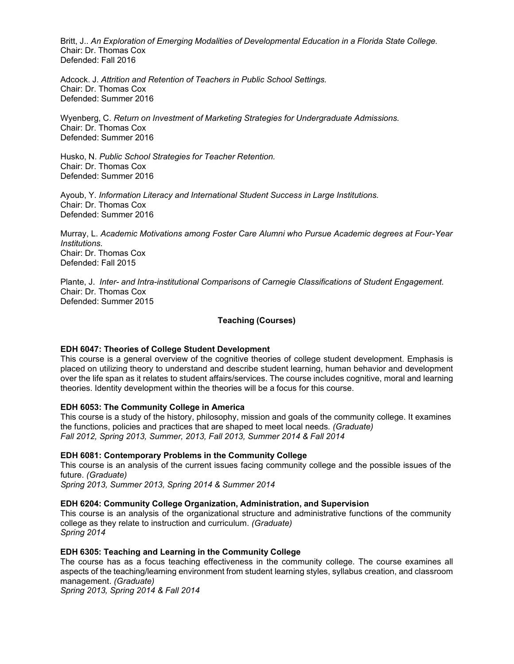Britt, J.. *An Exploration of Emerging Modalities of Developmental Education in a Florida State College.* Chair: Dr. Thomas Cox Defended: Fall 2016

Adcock. J. *Attrition and Retention of Teachers in Public School Settings.* Chair: Dr. Thomas Cox Defended: Summer 2016

Wyenberg, C. *Return on Investment of Marketing Strategies for Undergraduate Admissions.* Chair: Dr. Thomas Cox Defended: Summer 2016

Husko, N. *Public School Strategies for Teacher Retention.* Chair: Dr. Thomas Cox Defended: Summer 2016

Ayoub, Y. *Information Literacy and International Student Success in Large Institutions.* Chair: Dr. Thomas Cox Defended: Summer 2016

Murray, L. *Academic Motivations among Foster Care Alumni who Pursue Academic degrees at Four-Year Institutions.* Chair: Dr. Thomas Cox Defended: Fall 2015

Plante, J. *Inter- and Intra-institutional Comparisons of Carnegie Classifications of Student Engagement.* Chair: Dr. Thomas Cox Defended: Summer 2015

## **Teaching (Courses)**

#### **EDH 6047: Theories of College Student Development**

This course is a general overview of the cognitive theories of college student development. Emphasis is placed on utilizing theory to understand and describe student learning, human behavior and development over the life span as it relates to student affairs/services. The course includes cognitive, moral and learning theories. Identity development within the theories will be a focus for this course.

#### **EDH 6053: The Community College in America**

This course is a study of the history, philosophy, mission and goals of the community college. It examines the functions, policies and practices that are shaped to meet local needs*. (Graduate) Fall 2012, Spring 2013, Summer, 2013, Fall 2013, Summer 2014 & Fall 2014*

#### **EDH 6081: Contemporary Problems in the Community College**

This course is an analysis of the current issues facing community college and the possible issues of the future. *(Graduate)*

*Spring 2013, Summer 2013, Spring 2014 & Summer 2014*

#### **EDH 6204: Community College Organization, Administration, and Supervision**

This course is an analysis of the organizational structure and administrative functions of the community college as they relate to instruction and curriculum. *(Graduate) Spring 2014*

#### **EDH 6305: Teaching and Learning in the Community College**

The course has as a focus teaching effectiveness in the community college. The course examines all aspects of the teaching/learning environment from student learning styles, syllabus creation, and classroom management. *(Graduate)*

*Spring 2013, Spring 2014 & Fall 2014*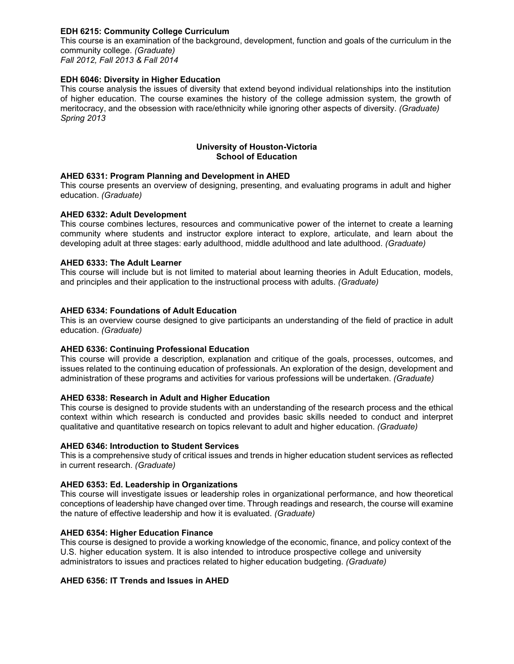## **EDH 6215: Community College Curriculum**

This course is an examination of the background, development, function and goals of the curriculum in the community college. *(Graduate)*

*Fall 2012, Fall 2013 & Fall 2014*

## **EDH 6046: Diversity in Higher Education**

This course analysis the issues of diversity that extend beyond individual relationships into the institution of higher education. The course examines the history of the college admission system, the growth of meritocracy, and the obsession with race/ethnicity while ignoring other aspects of diversity. *(Graduate) Spring 2013*

## **University of Houston-Victoria School of Education**

## **AHED 6331: Program Planning and Development in AHED**

This course presents an overview of designing, presenting, and evaluating programs in adult and higher education. *(Graduate)*

## **AHED 6332: Adult Development**

This course combines lectures, resources and communicative power of the internet to create a learning community where students and instructor explore interact to explore, articulate, and learn about the developing adult at three stages: early adulthood, middle adulthood and late adulthood. *(Graduate)*

## **AHED 6333: The Adult Learner**

This course will include but is not limited to material about learning theories in Adult Education, models, and principles and their application to the instructional process with adults. *(Graduate)*

## **AHED 6334: Foundations of Adult Education**

This is an overview course designed to give participants an understanding of the field of practice in adult education. *(Graduate)*

#### **AHED 6336: Continuing Professional Education**

This course will provide a description, explanation and critique of the goals, processes, outcomes, and issues related to the continuing education of professionals. An exploration of the design, development and administration of these programs and activities for various professions will be undertaken. *(Graduate)*

#### **AHED 6338: Research in Adult and Higher Education**

This course is designed to provide students with an understanding of the research process and the ethical context within which research is conducted and provides basic skills needed to conduct and interpret qualitative and quantitative research on topics relevant to adult and higher education. *(Graduate)*

### **AHED 6346: Introduction to Student Services**

This is a comprehensive study of critical issues and trends in higher education student services as reflected in current research. *(Graduate)*

#### **AHED 6353: Ed. Leadership in Organizations**

This course will investigate issues or leadership roles in organizational performance, and how theoretical conceptions of leadership have changed over time. Through readings and research, the course will examine the nature of effective leadership and how it is evaluated. *(Graduate)*

#### **AHED 6354: Higher Education Finance**

This course is designed to provide a working knowledge of the economic, finance, and policy context of the U.S. higher education system. It is also intended to introduce prospective college and university administrators to issues and practices related to higher education budgeting. *(Graduate)*

## **AHED 6356: IT Trends and Issues in AHED**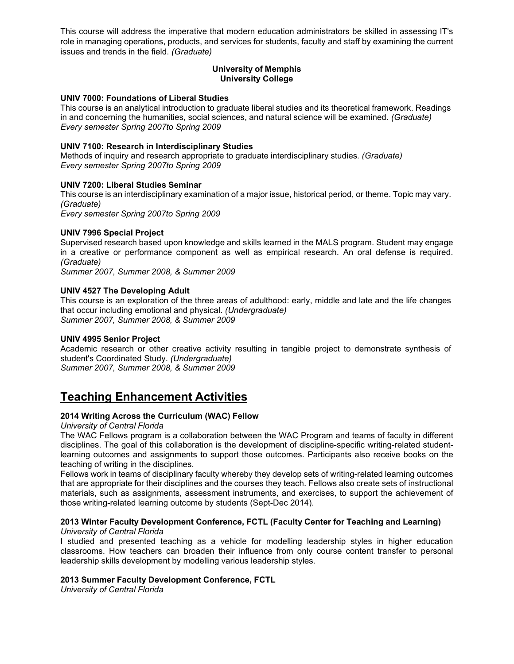This course will address the imperative that modern education administrators be skilled in assessing IT's role in managing operations, products, and services for students, faculty and staff by examining the current issues and trends in the field. *(Graduate)*

### **University of Memphis University College**

#### **UNIV 7000: Foundations of Liberal Studies**

This course is an analytical introduction to graduate liberal studies and its theoretical framework. Readings in and concerning the humanities, social sciences, and natural science will be examined. *(Graduate) Every semester Spring 2007to Spring 2009*

#### **UNIV 7100: Research in Interdisciplinary Studies**

Methods of inquiry and research appropriate to graduate interdisciplinary studies*. (Graduate) Every semester Spring 2007to Spring 2009*

#### **UNIV 7200: Liberal Studies Seminar**

This course is an interdisciplinary examination of a major issue, historical period, or theme. Topic may vary. *(Graduate)*

*Every semester Spring 2007to Spring 2009*

#### **UNIV 7996 Special Project**

Supervised research based upon knowledge and skills learned in the MALS program. Student may engage in a creative or performance component as well as empirical research. An oral defense is required. *(Graduate)*

*Summer 2007, Summer 2008, & Summer 2009*

#### **UNIV 4527 The Developing Adult**

This course is an exploration of the three areas of adulthood: early, middle and late and the life changes that occur including emotional and physical. *(Undergraduate) Summer 2007, Summer 2008, & Summer 2009*

#### **UNIV 4995 Senior Project**

Academic research or other creative activity resulting in tangible project to demonstrate synthesis of student's Coordinated Study. *(Undergraduate)*

*Summer 2007, Summer 2008, & Summer 2009*

# **Teaching Enhancement Activities**

#### **2014 Writing Across the Curriculum (WAC) Fellow**

*University of Central Florida*

The WAC Fellows program is a collaboration between the WAC Program and teams of faculty in different disciplines. The goal of this collaboration is the development of discipline-specific writing-related studentlearning outcomes and assignments to support those outcomes. Participants also receive books on the teaching of writing in the disciplines.

Fellows work in teams of disciplinary faculty whereby they develop sets of writing-related learning outcomes that are appropriate for their disciplines and the courses they teach. Fellows also create sets of instructional materials, such as assignments, assessment instruments, and exercises, to support the achievement of those writing-related learning outcome by students (Sept-Dec 2014).

#### **2013 Winter Faculty Development Conference, FCTL (Faculty Center for Teaching and Learning)** *University of Central Florida*

I studied and presented teaching as a vehicle for modelling leadership styles in higher education classrooms. How teachers can broaden their influence from only course content transfer to personal leadership skills development by modelling various leadership styles.

#### **2013 Summer Faculty Development Conference, FCTL**

*University of Central Florida*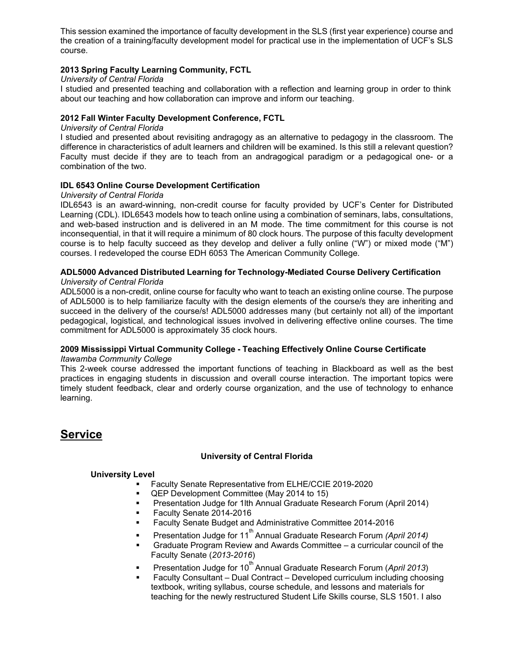This session examined the importance of faculty development in the SLS (first year experience) course and the creation of a training/faculty development model for practical use in the implementation of UCF's SLS course.

## **2013 Spring Faculty Learning Community, FCTL**

#### *University of Central Florida*

I studied and presented teaching and collaboration with a reflection and learning group in order to think about our teaching and how collaboration can improve and inform our teaching.

## **2012 Fall Winter Faculty Development Conference, FCTL**

#### *University of Central Florida*

I studied and presented about revisiting andragogy as an alternative to pedagogy in the classroom. The difference in characteristics of adult learners and children will be examined. Is this still a relevant question? Faculty must decide if they are to teach from an andragogical paradigm or a pedagogical one- or a combination of the two.

#### **IDL 6543 Online Course Development Certification**

#### *University of Central Florida*

IDL6543 is an award-winning, non-credit course for faculty provided by UCF's Center for Distributed Learning (CDL). IDL6543 models how to teach online using a combination of seminars, labs, consultations, and web-based instruction and is delivered in an M mode. The time commitment for this course is not inconsequential, in that it will require a minimum of 80 clock hours. The purpose of this faculty development course is to help faculty succeed as they develop and deliver a fully online ("W") or mixed mode ("M") courses. I redeveloped the course EDH 6053 The American Community College.

#### **ADL5000 Advanced Distributed Learning for Technology-Mediated Course Delivery Certification** *University of Central Florida*

ADL5000 is a non-credit, online course for faculty who want to teach an existing online course. The purpose of ADL5000 is to help familiarize faculty with the design elements of the course/s they are inheriting and succeed in the delivery of the course/s! ADL5000 addresses many (but certainly not all) of the important pedagogical, logistical, and technological issues involved in delivering effective online courses. The time commitment for ADL5000 is approximately 35 clock hours.

#### **2009 Mississippi Virtual Community College - Teaching Effectively Online Course Certificate** *Itawamba Community College*

This 2-week course addressed the important functions of teaching in Blackboard as well as the best practices in engaging students in discussion and overall course interaction. The important topics were timely student feedback, clear and orderly course organization, and the use of technology to enhance learning.

# **Service**

## **University of Central Florida**

#### **University Level**

- Faculty Senate Representative from ELHE/CCIE 2019-2020
- QEP Development Committee (May 2014 to 15)
- Presentation Judge for 1lth Annual Graduate Research Forum (April 2014)
- Faculty Senate 2014-2016
- Faculty Senate Budget and Administrative Committee 2014-2016
- **Presentation Judge for 11<sup>th</sup> Annual Graduate Research Forum** *(April 2014)*
- Graduate Program Review and Awards Committee a curricular council of the Faculty Senate (*2013-2016*)
- Presentation Judge for 10<sup>th</sup> Annual Graduate Research Forum (April 2013)
- Faculty Consultant Dual Contract Developed curriculum including choosing textbook, writing syllabus, course schedule, and lessons and materials for teaching for the newly restructured Student Life Skills course, SLS 1501. I also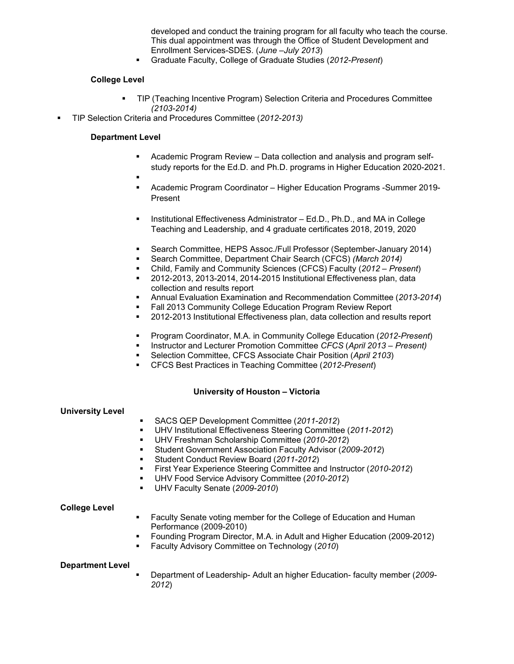developed and conduct the training program for all faculty who teach the course. This dual appointment was through the Office of Student Development and Enrollment Services-SDES. (*June –July 2013*)

Graduate Faculty, College of Graduate Studies (*2012-Present*)

## **College Level**

- TIP (Teaching Incentive Program) Selection Criteria and Procedures Committee *(2103-2014)*
- TIP Selection Criteria and Procedures Committee (*2012-2013)*

## **Department Level**

- Academic Program Review Data collection and analysis and program selfstudy reports for the Ed.D. and Ph.D. programs in Higher Education 2020-2021.
- .
	- Academic Program Coordinator Higher Education Programs -Summer 2019- Present
- Institutional Effectiveness Administrator Ed.D., Ph.D., and MA in College Teaching and Leadership, and 4 graduate certificates 2018, 2019, 2020
- Search Committee, HEPS Assoc./Full Professor (September-January 2014)
- Search Committee, Department Chair Search (CFCS) *(March 2014)*
- Child, Family and Community Sciences (CFCS) Faculty (*2012 – Present*)
- 2012-2013, 2013-2014, 2014-2015 Institutional Effectiveness plan, data collection and results report
- Annual Evaluation Examination and Recommendation Committee (*2013-2014*)
- Fall 2013 Community College Education Program Review Report
- 2012-2013 Institutional Effectiveness plan, data collection and results report
- Program Coordinator, M.A. in Community College Education (*2012-Present*)
- Instructor and Lecturer Promotion Committee *CFCS* (*April 2013 – Present)*
- Selection Committee, CFCS Associate Chair Position (*April 2103*)
- CFCS Best Practices in Teaching Committee (*2012-Present*)

#### **University of Houston – Victoria**

| <b>University Level</b> |                                                                                                                                                                                                                              |
|-------------------------|------------------------------------------------------------------------------------------------------------------------------------------------------------------------------------------------------------------------------|
|                         | SACS QEP Development Committee (2011-2012)<br>UHV Institutional Effectiveness Steering Committee (2011-2012)<br>UHV Freshman Scholarship Committee (2010-2012)<br>Student Government Association Faculty Advisor (2009-2012) |
|                         | Student Conduct Review Board (2011-2012)                                                                                                                                                                                     |
|                         | • First Year Experience Steering Committee and Instructor (2010-2012)                                                                                                                                                        |
|                         | • UHV Food Service Advisory Committee (2010-2012)                                                                                                                                                                            |
|                         | UHV Faculty Senate (2009-2010)                                                                                                                                                                                               |
| College Level           | Equity Canata vating mamber for the College of Education and Human                                                                                                                                                           |

- Faculty Senate voting member for the College of Education and Human Performance (2009-2010)
- Founding Program Director, M.A. in Adult and Higher Education (2009-2012)
- Faculty Advisory Committee on Technology (*2010*)

#### **Department Level**

 Department of Leadership- Adult an higher Education- faculty member (*2009- 2012*)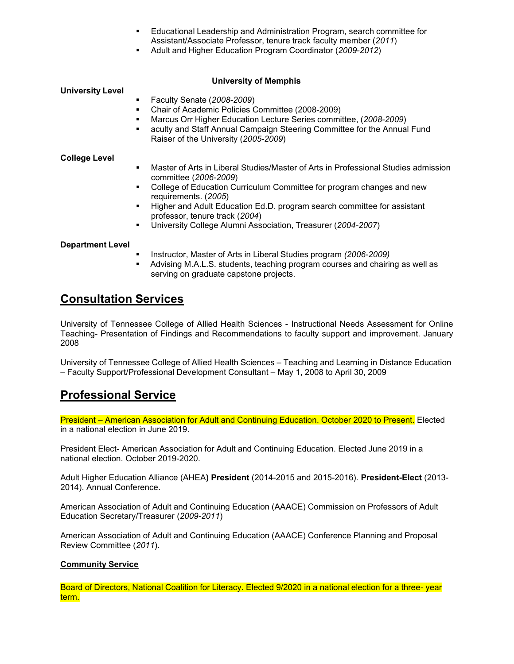- Educational Leadership and Administration Program, search committee for Assistant/Associate Professor, tenure track faculty member (*2011*)
- Adult and Higher Education Program Coordinator (*2009-2012*)

## **University of Memphis**

### **University Level**

- **Faculty Senate (2008-2009)**<br>Chair of Academic Policies C
- Chair of Academic Policies Committee (2008-2009)
- Marcus Orr Higher Education Lecture Series committee, (*2008-2009*)
- aculty and Staff Annual Campaign Steering Committee for the Annual Fund Raiser of the University (*2005-2009*)

#### **College Level**

- Master of Arts in Liberal Studies/Master of Arts in Professional Studies admission committee (*2006-2009*)
- College of Education Curriculum Committee for program changes and new requirements. (*2005*)
- Higher and Adult Education Ed.D. program search committee for assistant professor, tenure track (*2004*)
- University College Alumni Association, Treasurer (*2004-2007*)

## **Department Level**

- Instructor, Master of Arts in Liberal Studies program *(2006-2009)*
- Advising M.A.L.S. students, teaching program courses and chairing as well as serving on graduate capstone projects.

# **Consultation Services**

University of Tennessee College of Allied Health Sciences - Instructional Needs Assessment for Online Teaching- Presentation of Findings and Recommendations to faculty support and improvement. January 2008

University of Tennessee College of Allied Health Sciences – Teaching and Learning in Distance Education – Faculty Support/Professional Development Consultant – May 1, 2008 to April 30, 2009

# **Professional Service**

President – American Association for Adult and Continuing Education. October 2020 to Present. Elected in a national election in June 2019.

President Elect- American Association for Adult and Continuing Education. Elected June 2019 in a national election. October 2019-2020.

Adult Higher Education Alliance (AHEA**) President** (2014-2015 and 2015-2016). **President-Elect** (2013- 2014). Annual Conference.

American Association of Adult and Continuing Education (AAACE) Commission on Professors of Adult Education Secretary/Treasurer (*2009-2011*)

American Association of Adult and Continuing Education (AAACE) Conference Planning and Proposal Review Committee (*2011*).

## **Community Service**

Board of Directors, National Coalition for Literacy. Elected 9/2020 in a national election for a three- year term.